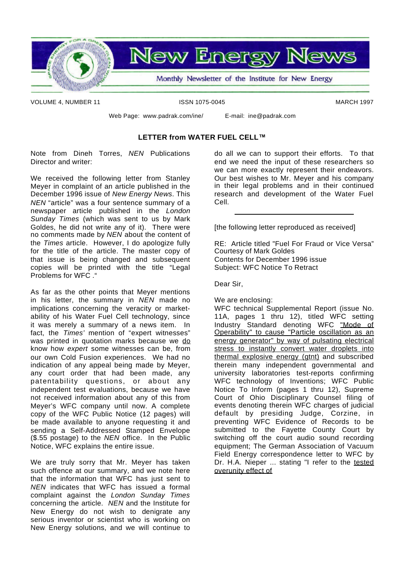

VOLUME 4. NUMBER 11 **ISSN 1075-0045** MARCH 1997

Web Page: www.padrak.com/ine/ E-mail: ine@padrak.com

#### **LETTER from WATER FUEL CELL™**

Note from Dineh Torres, *NEN* Publications Director and writer:

We received the following letter from Stanley Meyer in complaint of an article published in the December 1996 issue of *New Energy News*. This *NEN* "article" was a four sentence summary of a newspaper article published in the *London Sunday Times* (which was sent to us by Mark Goldes, he did not write any of it). There were no comments made by *NEN* about the content of the *Times* article. However, I do apologize fully for the title of the article. The master copy of that issue is being changed and subsequent copies will be printed with the title "Legal Problems for WFC ."

As far as the other points that Meyer mentions in his letter, the summary in *NEN* made no implications concerning the veracity or marketability of his Water Fuel Cell technology, since it was merely a summary of a news item. In fact, the *Times'* mention of "expert witnesses" was printed in quotation marks because we do know how *expert* some witnesses can be, from our own Cold Fusion experiences. We had no indication of any appeal being made by Meyer, any court order that had been made, any patentability questions, or about any independent test evaluations, because we have not received information about any of this from Meyer's WFC company until now. A complete copy of the WFC Public Notice (12 pages) will be made available to anyone requesting it and sending a Self-Addressed Stamped Envelope (\$.55 postage) to the *NEN* office. In the Public Notice, WFC explains the entire issue.

We are truly sorry that Mr. Meyer has taken such offence at our summary, and we note here that the information that WFC has just sent to *NEN* indicates that WFC has issued a formal complaint against the *London Sunday Times* concerning the article. *NEN* and the Institute for New Energy do not wish to denigrate any serious inventor or scientist who is working on New Energy solutions, and we will continue to do all we can to support their efforts. To that end we need the input of these researchers so we can more exactly represent their endeavors. Our best wishes to Mr. Meyer and his company in their legal problems and in their continued research and development of the Water Fuel Cell.

[the following letter reproduced as received]

RE: Article titled "Fuel For Fraud or Vice Versa" Courtesy of Mark Goldes Contents for December 1996 issue Subject: WFC Notice To Retract

Dear Sir,

We are enclosing:

WFC technical Supplemental Report (issue No. 11A, pages 1 thru 12), titled WFC setting Industry Standard denoting WFC "Mode of Operability" to cause "Particle oscillation as an energy generator" by way of pulsating electrical stress to instantly convert water droplets into thermal explosive energy (gtnt) and subscribed therein many independent governmental and university laboratories test-reports confirming WFC technology of Inventions; WFC Public Notice To Inform (pages 1 thru 12), Supreme Court of Ohio Disciplinary Counsel filing of events denoting therein WFC charges of judicial default by presiding Judge, Corzine, in preventing WFC Evidence of Records to be submitted to the Fayette County Court by switching off the court audio sound recording equipment; The German Association of Vacuum Field Energy correspondence letter to WFC by Dr. H.A. Nieper ... stating "I refer to the tested overunity effect of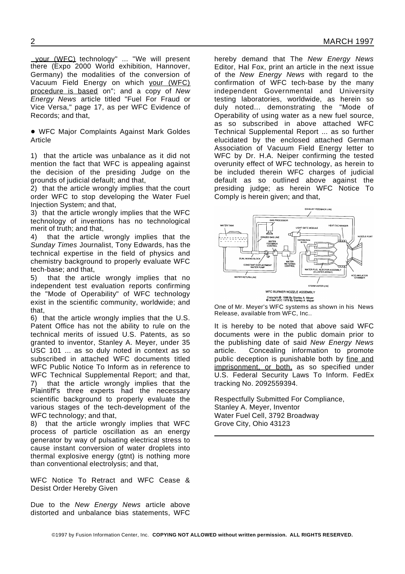your (WFC) technology" ... "We will present there (Expo 2000 World exhibition, Hannover, Germany) the modalities of the conversion of Vacuum Field Energy on which your (WFC) procedure is based on"; and a copy of *New Energy News* article titled "Fuel For Fraud or Vice Versa," page 17, as per WFC Evidence of Records; and that,

! WFC Major Complaints Against Mark Goldes Article

1) that the article was unbalance as it did not mention the fact that WFC is appealing against the decision of the presiding Judge on the grounds of judicial default; and that,

2) that the article wrongly implies that the court order WFC to stop developing the Water Fuel Injection System; and that,

3) that the article wrongly implies that the WFC technology of inventions has no technological merit of truth; and that,

4) that the article wrongly implies that the *Sunday Times* Journalist, Tony Edwards, has the technical expertise in the field of physics and chemistry background to properly evaluate WFC tech-base; and that,

5) that the article wrongly implies that no independent test evaluation reports confirming the "Mode of Operability" of WFC technology exist in the scientific community, worldwide; and that,

6) that the article wrongly implies that the U.S. Patent Office has not the ability to rule on the technical merits of issued U.S. Patents, as so granted to inventor, Stanley A. Meyer, under 35 USC 101 ... as so duly noted in context as so subscribed in attached WFC documents titled WFC Public Notice To Inform as in reference to WFC Technical Supplemental Report; and that, 7) that the article wrongly implies that the Plaintiff's three experts had the necessary scientific background to properly evaluate the various stages of the tech-development of the WFC technology; and that,

8) that the article wrongly implies that WFC process of particle oscillation as an energy generator by way of pulsating electrical stress to cause instant conversion of water droplets into thermal explosive energy (gtnt) is nothing more than conventional electrolysis; and that,

WFC Notice To Retract and WFC Cease & Desist Order Hereby Given

Due to the *New Energy News* article above distorted and unbalance bias statements, WFC

hereby demand that The *New Energy News* Editor, Hal Fox, print an article in the next issue of the *New Energy News* with regard to the confirmation of WFC tech-base by the many independent Governmental and University testing laboratories, worldwide, as herein so duly noted... demonstrating the "Mode of Operability of using water as a new fuel source, as so subscribed in above attached WFC Technical Supplemental Report ... as so further elucidated by the enclosed attached German Association of Vacuum Field Energy letter to WFC by Dr. H.A. Neiper confirming the tested overunity effect of WFC technology, as herein to be included therein WFC charges of judicial default as so outlined above against the presiding judge; as herein WFC Notice To Comply is herein given; and that,



One of Mr. Meyer's WFC systems as shown in his News Release, available from WFC, Inc..

It is hereby to be noted that above said WFC documents were in the public domain prior to the publishing date of said *New Energy News* article. Concealing information to promote public deception is punishable both by fine and imprisonment, or both, as so specified under U.S. Federal Security Laws To Inform. FedEx tracking No. 2092559394.

Respectfully Submitted For Compliance, Stanley A. Meyer, Inventor Water Fuel Cell, 3792 Broadway Grove City, Ohio 43123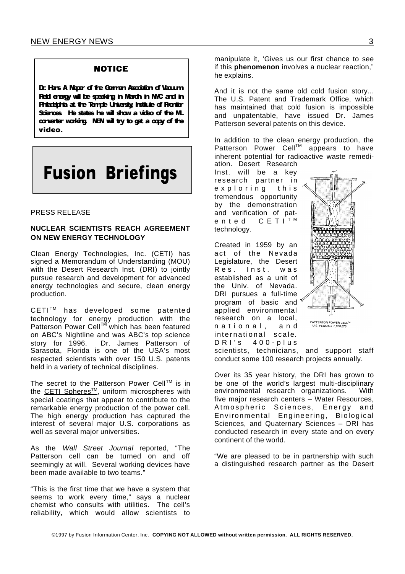#### **NOTICE**

Dr. Hans A Naper of the German Association of Vacuum Feld energy will be speaking in March in NAC and in Priadabria at the Temple University Institute of Frontier Sciences He states he will show a video of the ML converter working. NEN will try to get a copy of the video.

# **Fusion Briefings**

#### PRESS RELEASE

#### **NUCLEAR SCIENTISTS REACH AGREEMENT ON NEW ENERGY TECHNOLOGY**

Clean Energy Technologies, Inc. (CETI) has signed a Memorandum of Understanding (MOU) with the Desert Research Inst. (DRI) to jointly pursue research and development for advanced energy technologies and secure, clean energy production.

CETI™ has developed some patented technology for energy production with the Patterson Power Cell™ which has been featured on ABC's Nightline and was ABC's top science story for 1996. Dr. James Patterson of Sarasota, Florida is one of the USA's most respected scientists with over 150 U.S. patents held in a variety of technical disciplines.

The secret to the Patterson Power Cell™ is in the CETI Spheres<sup>™</sup>, uniform microspheres with special coatings that appear to contribute to the remarkable energy production of the power cell. The high energy production has captured the interest of several major U.S. corporations as well as several major universities.

As the *Wall Street Journal* reported, "The Patterson cell can be turned on and off seemingly at will. Several working devices have been made available to two teams."

"This is the first time that we have a system that seems to work every time," says a nuclear chemist who consults with utilities. The cell's reliability, which would allow scientists to

manipulate it, 'Gives us our first chance to see if this **phenomenon** involves a nuclear reaction," he explains.

And it is not the same old cold fusion story... The U.S. Patent and Trademark Office, which has maintained that cold fusion is impossible and unpatentable, have issued Dr. James Patterson several patents on this device.

In addition to the clean energy production, the Patterson Power Cell™ appears to have inherent potential for radioactive waste remediation. Desert Research

Inst. will be a key research partner in e x p l o r i n g this tremendous opportunity by the demonstration and verification of pat-<br>ented  $C E T I T M$  $C E T I^T$ <sup>M</sup> technology.

Created in 1959 by an act of the Nevada Legislature, the Desert Res. Inst. was established as a unit of the Univ. of Nevada. DRI pursues a full-time program of basic and applied environmental research on a local, n a t i o n a l, a n d international scale.  $DRI's 400-plus$ 



scientists, technicians, and support staff conduct some 100 research projects annually.

Over its 35 year history, the DRI has grown to be one of the world's largest multi-disciplinary environmental research organizations. With five major research centers – Water Resources, Atmospheric Sciences, Energy and Environmental Engineering, Biological Sciences, and Quaternary Sciences – DRI has conducted research in every state and on every continent of the world.

"We are pleased to be in partnership with such a distinguished research partner as the Desert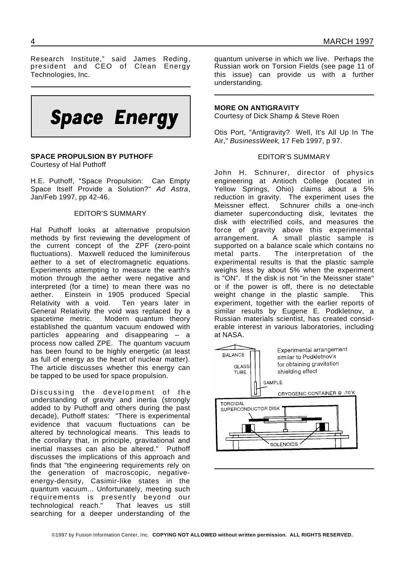Research Institute," said James Reding, president and CEO of Clean Energy Technologies, Inc.



## **SPACE PROPULSION BY PUTHOFF**

Courtesy of Hal Puthoff

H.E. Puthoff, "Space Propulsion: Can Empty Space Itself Provide a Solution?" *Ad Astra*, Jan/Feb 1997, pp 42-46.

#### EDITOR'S SUMMARY

Hal Puthoff looks at alternative propulsion methods by first reviewing the development of the current concept of the ZPF (zero-point fluctuations). Maxwell reduced the luminiferous aether to a set of electromagnetic equations. Experiments attempting to measure the earth's motion through the aether were negative and interpreted (for a time) to mean there was no aether. Einstein in 1905 produced Special Relativity with a void. Ten years later in General Relativity the void was replaced by a spacetime metric. Modern quantum theory established the quantum vacuum endowed with particles appearing and disappearing – a process now called ZPE. The quantum vacuum has been found to be highly energetic (at least as full of energy as the heart of nuclear matter). The article discusses whether this energy can be tapped to be used for space propulsion.

Discussing the development of the understanding of gravity and inertia (strongly added to by Puthoff and others during the past decade), Puthoff states: "There is experimental evidence that vacuum fluctuations can be altered by technological means. This leads to the corollary that, in principle, gravitational and inertial masses can also be altered." Puthoff discusses the implications of this approach and finds that "the engineering requirements rely on the generation of macroscopic, negativeenergy-density, Casimir-like states in the quantum vacuum... Unfortunately, meeting such requirements is presently beyond our technological reach." That leaves us still searching for a deeper understanding of the

quantum universe in which we live. Perhaps the Russian work on Torsion Fields (see page 11 of this issue) can provide us with a further understanding.

#### **MORE ON ANTIGRAVITY**

Courtesy of Dick Shamp & Steve Roen

Otis Port, "Antigravity? Well, It's All Up In The Air," *BusinessWeek*, 17 Feb 1997, p 97.

#### EDITOR'S SUMMARY

John H. Schnurer, director of physics engineering at Antioch College (located in Yellow Springs, Ohio) claims about a 5% reduction in gravity. The experiment uses the Meissner effect. Schnurer chills a one-inch diameter superconducting disk, levitates the disk with electrified coils, and measures the force of gravity above this experimental arrangement. A small plastic sample is supported on a balance scale which contains no metal parts. The interpretation of the experimental results is that the plastic sample weighs less by about 5% when the experiment is "ON". If the disk is not "in the Meissner state" or if the power is off, there is no detectable weight change in the plastic sample. This experiment, together with the earlier reports of similar results by Eugene E. Podkletnov, a Russian materials scientist, has created considerable interest in various laboratories, including at NASA.

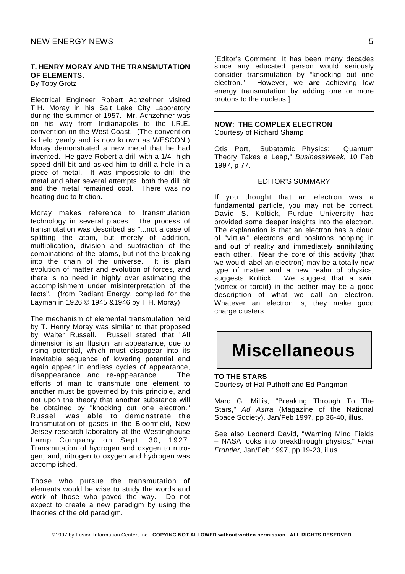#### **T. HENRY MORAY AND THE TRANSMUTATION OF ELEMENTS**.

By Toby Grotz

Electrical Engineer Robert Achzehner visited T.H. Moray in his Salt Lake City Laboratory during the summer of 1957. Mr. Achzehner was on his way from Indianapolis to the I.R.E. convention on the West Coast. (The convention is held yearly and is now known as WESCON.) Moray demonstrated a new metal that he had invented. He gave Robert a drill with a 1/4" high speed drill bit and asked him to drill a hole in a piece of metal. It was impossible to drill the metal and after several attempts, both the dill bit and the metal remained cool. There was no heating due to friction.

Moray makes reference to transmutation technology in several places. The process of transmutation was described as "...not a case of splitting the atom, but merely of addition, multiplication, division and subtraction of the combinations of the atoms, but not the breaking into the chain of the universe. It is plain evolution of matter and evolution of forces, and there is no need in highly over estimating the accomplishment under misinterpretation of the facts". (from Radiant Energy, compiled for the Layman in 1926 © 1945 &1946 by T.H. Moray)

The mechanism of elemental transmutation held by T. Henry Moray was similar to that proposed by Walter Russell. Russell stated that "All dimension is an illusion, an appearance, due to rising potential, which must disappear into its inevitable sequence of lowering potential and again appear in endless cycles of appearance, disappearance and re-appearance... The efforts of man to transmute one element to another must be governed by this principle, and not upon the theory that another substance will be obtained by "knocking out one electron." Russell was able to demonstrate the transmutation of gases in the Bloomfield, New Jersey research laboratory at the Westinghouse Lamp Company on Sept. 30, 1927. Transmutation of hydrogen and oxygen to nitrogen, and, nitrogen to oxygen and hydrogen was accomplished.

Those who pursue the transmutation of elements would be wise to study the words and work of those who paved the way. Do not expect to create a new paradigm by using the theories of the old paradigm.

[Editor's Comment: It has been many decades since any educated person would seriously consider transmutation by "knocking out one electron." However, we **are** achieving low energy transmutation by adding one or more protons to the nucleus.]

#### **NOW: THE COMPLEX ELECTRON**

Courtesy of Richard Shamp

Otis Port, "Subatomic Physics: Quantum Theory Takes a Leap," *BusinessWeek*, 10 Feb 1997, p 77.

#### EDITOR'S SUMMARY

If you thought that an electron was a fundamental particle, you may not be correct. David S. Koltick, Purdue University has provided some deeper insights into the electron. The explanation is that an electron has a cloud of "virtual" electrons and positrons popping in and out of reality and immediately annihilating each other. Near the core of this activity (that we would label an electron) may be a totally new type of matter and a new realm of physics, suggests Koltick. We suggest that a swirl (vortex or toroid) in the aether may be a good description of what we call an electron. Whatever an electron is, they make good charge clusters.

## **Miscellaneous**

#### **TO THE STARS**

Courtesy of Hal Puthoff and Ed Pangman

Marc G. Millis, "Breaking Through To The Stars," *Ad Astra* (Magazine of the National Space Society). Jan/Feb 1997, pp 36-40, illus.

See also Leonard David, "Warning Mind Fields – NASA looks into breakthrough physics," *Final Frontier*, Jan/Feb 1997, pp 19-23, illus.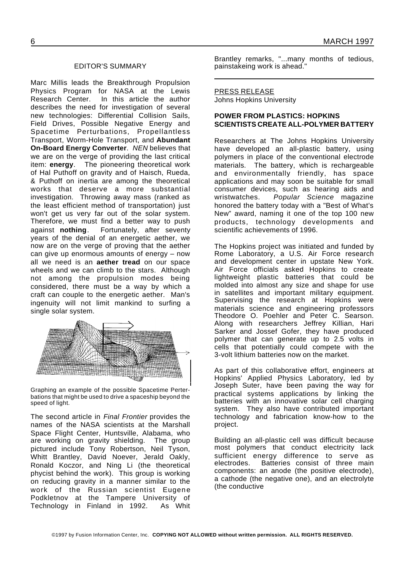#### EDITOR'S SUMMARY

Marc Millis leads the Breakthrough Propulsion Physics Program for NASA at the Lewis Research Center. In this article the author describes the need for investigation of several new technologies: Differential Collision Sails, Field Drives, Possible Negative Energy and Spacetime Perturbations, Propellantless Transport, Worm-Hole Transport, and **Abundant On-Board Energy Converter**. *NEN* believes that we are on the verge of providing the last critical item: **energy**. The pioneering theoretical work of Hal Puthoff on gravity and of Haisch, Rueda, & Puthoff on inertia are among the theoretical works that deserve a more substantial investigation. Throwing away mass (ranked as the least efficient method of transportation) just won't get us very far out of the solar system. Therefore, we must find a better way to push against **nothing**. Fortunately, after seventy years of the denial of an energetic aether, we now are on the verge of proving that the aether can give up enormous amounts of energy – now all we need is an **aether tread** on our space wheels and we can climb to the stars. Although not among the propulsion modes being considered, there must be a way by which a craft can couple to the energetic aether. Man's ingenuity will not limit mankind to surfing a single solar system.



Graphing an example of the possible Spacetime Perterbations that might be used to drive a spaceship beyond the speed of light.

The second article in *Final Frontier* provides the names of the NASA scientists at the Marshall Space Flight Center, Huntsville, Alabama, who are working on gravity shielding. The group pictured include Tony Robertson, Neil Tyson, Whitt Brantley, David Noever, Jerald Oakly, Ronald Koczor, and Ning Li (the theoretical phycist behind the work). This group is working on reducing gravity in a manner similar to the work of the Russian scientist Eugene Podkletnov at the Tampere University of Technology in Finland in 1992. As Whit

6 MARCH 1997

Brantley remarks, "...many months of tedious, painstakeing work is ahead."

#### PRESS RELEASE

Johns Hopkins University

#### **POWER FROM PLASTICS: HOPKINS SCIENTISTS CREATE ALL-POLYMER BATTERY**

Researchers at The Johns Hopkins University have developed an all-plastic battery, using polymers in place of the conventional electrode materials. The battery, which is rechargeable and environmentally friendly, has space applications and may soon be suitable for small consumer devices, such as hearing aids and wristwatches. *Popular Science* magazine honored the battery today with a "Best of What's New" award, naming it one of the top 100 new products, technology developments and scientific achievements of 1996.

The Hopkins project was initiated and funded by Rome Laboratory, a U.S. Air Force research and development center in upstate New York. Air Force officials asked Hopkins to create lightweight plastic batteries that could be molded into almost any size and shape for use in satellites and important military equipment. Supervising the research at Hopkins were materials science and engineering professors Theodore O. Poehler and Peter C. Searson. Along with researchers Jeffrey Killian, Hari Sarker and Jossef Gofer, they have produced polymer that can generate up to 2.5 volts in cells that potentially could compete with the 3-volt lithium batteries now on the market.

As part of this collaborative effort, engineers at Hopkins' Applied Physics Laboratory, led by Joseph Suter, have been paving the way for practical systems applications by linking the batteries with an innovative solar cell charging system. They also have contributed important technology and fabrication know-how to the project.

Building an all-plastic cell was difficult because most polymers that conduct electricity lack sufficient energy difference to serve as electrodes. Batteries consist of three main components: an anode (the positive electrode), a cathode (the negative one), and an electrolyte (the conductive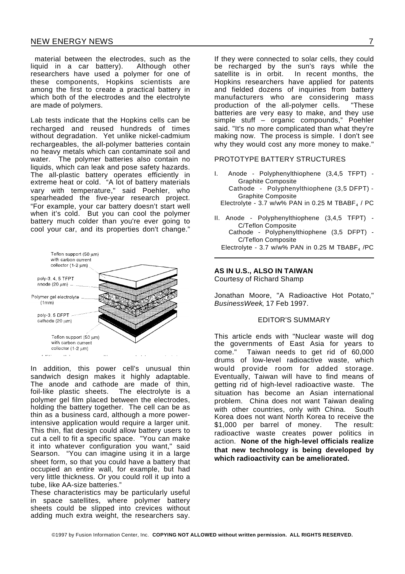material between the electrodes, such as the liquid in a car battery). Although other researchers have used a polymer for one of these components, Hopkins scientists are among the first to create a practical battery in which both of the electrodes and the electrolyte are made of polymers.

Lab tests indicate that the Hopkins cells can be recharged and reused hundreds of times without degradation. Yet unlike nickel-cadmium rechargeables, the all-polymer batteries contain no heavy metals which can contaminate soil and water. The polymer batteries also contain no liquids, which can leak and pose safety hazards. The all-plastic battery operates efficiently in extreme heat or cold. "A lot of battery materials vary with temperature," said Poehler, who spearheaded the five-year research project. "For example, your car battery doesn't start well when it's cold. But you can cool the polymer battery much colder than you're ever going to cool your car, and its properties don't change."



In addition, this power cell's unusual thin sandwich design makes it highly adaptable. The anode and cathode are made of thin, foil-like plastic sheets. The electrolyte is a polymer gel film placed between the electrodes, holding the battery together. The cell can be as thin as a business card, although a more powerintensive application would require a larger unit. This thin, flat design could allow battery users to cut a cell to fit a specific space. "You can make it into whatever configuration you want," said Searson. "You can imagine using it in a large sheet form, so that you could have a battery that occupied an entire wall, for example, but had very little thickness. Or you could roll it up into a tube, like AA-size batteries."

These characteristics may be particularly useful in space satellites, where polymer battery sheets could be slipped into crevices without adding much extra weight, the researchers say.

If they were connected to solar cells, they could be recharged by the sun's rays while the satellite is in orbit. In recent months, the Hopkins researchers have applied for patents and fielded dozens of inquiries from battery manufacturers who are considering mass production of the all-polymer cells. "These batteries are very easy to make, and they use simple stuff – organic compounds," Poehler said. "It's no more complicated than what they're making now. The process is simple. I don't see why they would cost any more money to make."

#### PROTOTYPE BATTERY STRUCTURES

- I. Anode Polyphenylthiophene (3,4,5 TFPT) Graphite Composite Cathode - Polyphenylthiophene (3,5 DFPT) - Graphite Composite Electrolyte - 3.7 w/w% PAN in 0.25 M TBABF $_4$  / PC
- II. Anode Polyphenylthiophene (3,4,5 TFPT) C/Teflon Composite Cathode - Polyphenylthiophene (3,5 DFPT) - C/Teflon Composite

Electrolyte - 3.7 w/w% PAN in 0.25 M TBABF<sub>4</sub> /PC

#### **AS IN U.S., ALSO IN TAIWAN**

Courtesy of Richard Shamp

Jonathan Moore, "A Radioactive Hot Potato," *BusinessWeek*, 17 Feb 1997.

#### EDITOR'S SUMMARY

This article ends with "Nuclear waste will dog the governments of East Asia for years to come." Taiwan needs to get rid of 60,000 drums of low-level radioactive waste, which would provide room for added storage. Eventually, Taiwan will have to find means of getting rid of high-level radioactive waste. The situation has become an Asian international problem. China does not want Taiwan dealing with other countries, only with China. South Korea does not want North Korea to receive the \$1,000 per barrel of money. The result: radioactive waste creates power politics in action. **None of the high-level officials realize that new technology is being developed by which radioactivity can be ameliorated.**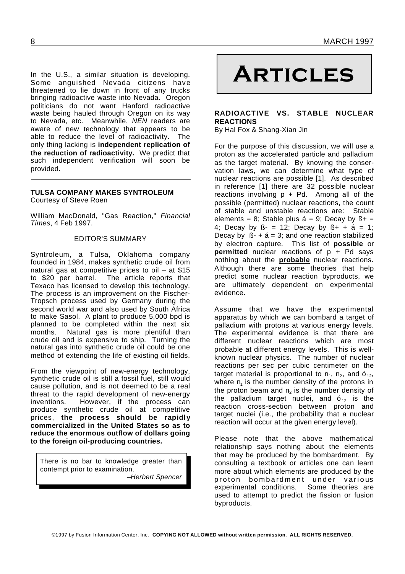In the U.S., a similar situation is developing. In the U.S., a similar situation is developing.  $\blacksquare$   $\blacksquare$ <br>Some anguished Nevada citizens have  $\blacksquare$   $\blacksquare$ threatened to lie down in front of any trucks bringing radioactive waste into Nevada. Oregon politicians do not want Hanford radioactive waste being hauled through Oregon on its way to Nevada, etc. Meanwhile, *NEN* readers are aware of new technology that appears to be able to reduce the level of radioactivity. The only thing lacking is **independent replication of the reduction of radioactivity.** We predict that such independent verification will soon be provided.

#### **TULSA COMPANY MAKES SYNTROLEUM** Courtesy of Steve Roen

William MacDonald, "Gas Reaction," *Financial Times*, 4 Feb 1997.

#### EDITOR'S SUMMARY

Syntroleum, a Tulsa, Oklahoma company founded in 1984, makes synthetic crude oil from natural gas at competitive prices to oil – at \$15 to \$20 per barrel. The article reports that Texaco has licensed to develop this technology. The process is an improvement on the Fischer-Tropsch process used by Germany during the second world war and also used by South Africa to make Sasol. A plant to produce 5,000 bpd is planned to be completed within the next six months. Natural gas is more plentiful than crude oil and is expensive to ship. Turning the natural gas into synthetic crude oil could be one method of extending the life of existing oil fields.

From the viewpoint of new-energy technology, synthetic crude oil is still a fossil fuel, still would cause pollution, and is not deemed to be a real threat to the rapid development of new-energy inventions. However, if the process can produce synthetic crude oil at competitive prices, **the process should be rapidly commercialized in the United States so as to reduce the enormous outflow of dollars going to the foreign oil-producing countries.**

There is no bar to knowledge greater than contempt prior to examination.

–*Herbert Spencer*

#### **RADIOACTIVE VS. STABLE NUCLEAR REACTIONS**

By Hal Fox & Shang-Xian Jin

For the purpose of this discussion, we will use a proton as the accelerated particle and palladium as the target material. By knowing the conservation laws, we can determine what type of nuclear reactions are possible [1]. As described in reference [1] there are 32 possible nuclear reactions involving  $p + Pd$ . Among all of the possible (permitted) nuclear reactions, the count of stable and unstable reactions are: Stable elements = 8; Stable plus  $\acute{a}$  = 9; Decay by  $\acute{b}$  + = 4; Decay by  $\beta - 12$ ; Decay by  $\beta + 44 = 1$ ; Decay by  $\beta - 4 = 3$ ; and one reaction stabilized by electron capture. This list of **possible** or **permitted** nuclear reactions of p + Pd says nothing about the **probable** nuclear reactions. Although there are some theories that help predict some nuclear reaction byproducts, we are ultimately dependent on experimental evidence.

Assume that we have the experimental apparatus by which we can bombard a target of palladium with protons at various energy levels. The experimental evidence is that there are different nuclear reactions which are most probable at different energy levels. This is wellknown nuclear physics. The number of nuclear reactions per sec per cubic centimeter on the target material is proportional to  $n_1$ ,  $n_2$ , and  $6_{12}$ , where  $\mathsf{n}_\mathsf{i}$  is the number density of the protons in the proton beam and  $\mathsf{n}_2$  is the number density of the palladium target nuclei, and  $6_{12}$  is the reaction cross-section between proton and target nuclei (i.e., the probability that a nuclear reaction will occur at the given energy level).

Please note that the above mathematical relationship says nothing about the elements that may be produced by the bombardment. By consulting a textbook or articles one can learn more about which elements are produced by the proton bombardment under various experimental conditions. Some theories are used to attempt to predict the fission or fusion byproducts.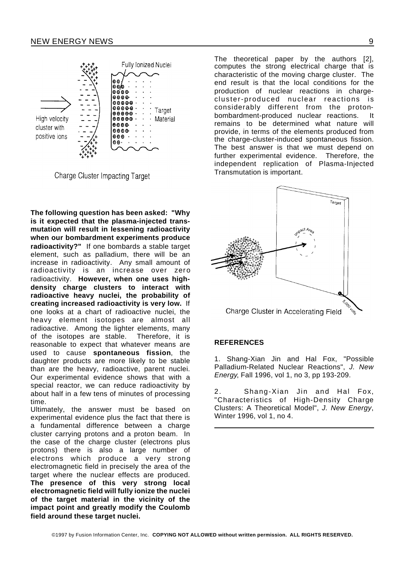

**Charge Cluster Impacting Target** 

**The following question has been asked: "Why is it expected that the plasma-injected transmutation will result in lessening radioactivity when our bombardment experiments produce radioactivity?"** If one bombards a stable target element, such as palladium, there will be an increase in radioactivity. Any small amount of radioactivity is an increase over zero radioactivity. **However, when one uses highdensity charge clusters to interact with radioactive heavy nuclei, the probability of creating increased radioactivity is very low.** If one looks at a chart of radioactive nuclei, the heavy element isotopes are almost all radioactive. Among the lighter elements, many of the isotopes are stable. Therefore, it is reasonable to expect that whatever means are used to cause **spontaneous fission**, the daughter products are more likely to be stable than are the heavy, radioactive, parent nuclei. Our experimental evidence shows that with a special reactor, we can reduce radioactivity by about half in a few tens of minutes of processing time.

Ultimately, the answer must be based on experimental evidence plus the fact that there is a fundamental difference between a charge cluster carrying protons and a proton beam. In the case of the charge cluster (electrons plus protons) there is also a large number of electrons which produce a very strong electromagnetic field in precisely the area of the target where the nuclear effects are produced. **The presence of this very strong local electromagnetic field will fully ionize the nuclei of the target material in the vicinity of the impact point and greatly modify the Coulomb field around these target nuclei.**

The theoretical paper by the authors [2], computes the strong electrical charge that is characteristic of the moving charge cluster. The end result is that the local conditions for the production of nuclear reactions in chargecluster-produced nuclear reactions is considerably different from the protonbombardment-produced nuclear reactions. It remains to be determined what nature will provide, in terms of the elements produced from the charge-cluster-induced spontaneous fission. The best answer is that we must depend on further experimental evidence. Therefore, the independent replication of Plasma-Injected Transmutation is important.



#### **REFERENCES**

1. Shang-Xian Jin and Hal Fox, "Possible Palladium-Related Nuclear Reactions", *J. New Energy*, Fall 1996, vol 1, no 3, pp 193-209.

2. Shang-Xian Jin and Hal Fox, "Characteristics of High-Density Charge Clusters: A Theoretical Model", *J. New Energy*, Winter 1996, vol 1, no 4.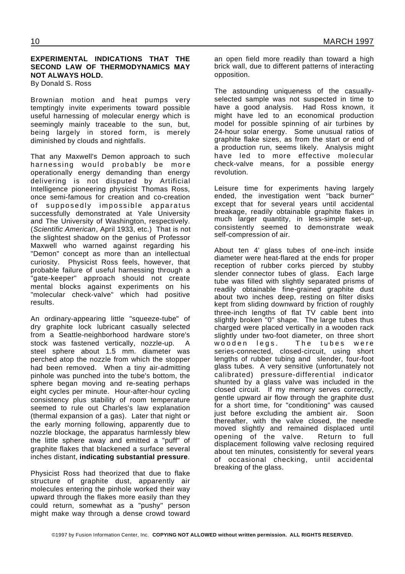#### **EXPERIMENTAL INDICATIONS THAT THE SECOND LAW OF THERMODYNAMICS MAY NOT ALWAYS HOLD.**

By Donald S. Ross

Brownian motion and heat pumps very temptingly invite experiments toward possible useful harnessing of molecular energy which is seemingly mainly traceable to the sun, but, being largely in stored form, is merely diminished by clouds and nightfalls.

That any Maxwell's Demon approach to such harnessing would probably be more operationally energy demanding than energy delivering is not disputed by Artificial Intelligence pioneering physicist Thomas Ross, once semi-famous for creation and co-creation of supposedly impossible apparatus successfully demonstrated at Yale University and The University of Washington, respectively. (*Scientific American*, April 1933, etc.) That is not the slightest shadow on the genius of Professor Maxwell who warned against regarding his "Demon" concept as more than an intellectual curiosity. Physicist Ross feels, however, that probable failure of useful harnessing through a "gate-keeper" approach should not create mental blocks against experiments on his "molecular check-valve" which had positive results.

An ordinary-appearing little "squeeze-tube" of dry graphite lock lubricant casually selected from a Seattle-neighborhood hardware store's stock was fastened vertically, nozzle-up. A steel sphere about 1.5 mm. diameter was perched atop the nozzle from which the stopper had been removed. When a tiny air-admitting pinhole was punched into the tube's bottom, the sphere began moving and re-seating perhaps eight cycles per minute. Hour-after-hour cycling consistency plus stability of room temperature seemed to rule out Charles's law explanation (thermal expansion of a gas). Later that night or the early morning following, apparently due to nozzle blockage, the apparatus harmlessly blew the little sphere away and emitted a "puff" of graphite flakes that blackened a surface several inches distant, **indicating substantial pressure**.

Physicist Ross had theorized that due to flake structure of graphite dust, apparently air molecules entering the pinhole worked their way upward through the flakes more easily than they could return, somewhat as a "pushy" person might make way through a dense crowd toward an open field more readily than toward a high brick wall, due to different patterns of interacting opposition.

The astounding uniqueness of the casuallyselected sample was not suspected in time to have a good analysis. Had Ross known, it might have led to an economical production model for possible spinning of air turbines by 24-hour solar energy. Some unusual ratios of graphite flake sizes, as from the start or end of a production run, seems likely. Analysis might have led to more effective molecular check-valve means, for a possible energy revolution.

Leisure time for experiments having largely ended, the investigation went "back burner" except that for several years until accidental breakage, readily obtainable graphite flakes in much larger quantity, in less-simple set-up, consistently seemed to demonstrate weak self-compression of air.

About ten 4' glass tubes of one-inch inside diameter were heat-flared at the ends for proper reception of rubber corks pierced by stubby slender connector tubes of glass. Each large tube was filled with slightly separated prisms of readily obtainable fine-grained graphite dust about two inches deep, resting on filter disks kept from sliding downward by friction of roughly three-inch lengths of flat TV cable bent into slightly broken "0" shape. The large tubes thus charged were placed vertically in a wooden rack slightly under two-foot diameter, on three short wooden legs. The tubes were series-connected, closed-circuit, using short lengths of rubber tubing and slender, four-foot glass tubes. A very sensitive (unfortunately not calibrated) pressure-differential indicator shunted by a glass valve was included in the closed circuit. If my memory serves correctly, gentle upward air flow through the graphite dust for a short time, for "conditioning" was caused just before excluding the ambient air. Soon thereafter, with the valve closed, the needle moved slightly and remained displaced until opening of the valve. Return to full displacement following valve reclosing required about ten minutes, consistently for several years of occasional checking, until accidental breaking of the glass.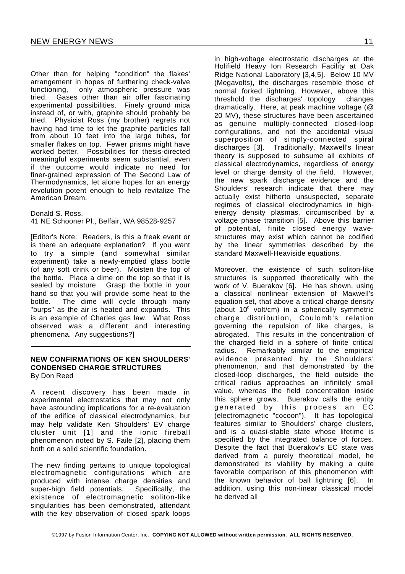Other than for helping "condition" the flakes' arrangement in hopes of furthering check-valve functioning, only atmospheric pressure was tried. Gases other than air offer fascinating experimental possibilities. Finely ground mica instead of, or with, graphite should probably be tried. Physicist Ross (my brother) regrets not having had time to let the graphite particles fall from about 10 feet into the large tubes, for smaller flakes on top. Fewer prisms might have worked better. Possibilities for thesis-directed meaningful experiments seem substantial, even if the outcome would indicate no need for finer-grained expression of The Second Law of Thermodynamics, let alone hopes for an energy revolution potent enough to help revitalize The American Dream.

Donald S. Ross, 41 NE Schooner Pl., Belfair, WA 98528-9257

[Editor's Note: Readers, is this a freak event or is there an adequate explanation? If you want to try a simple (and somewhat similar experiment) take a newly-emptied glass bottle (of any soft drink or beer). Moisten the top of the bottle. Place a dime on the top so that it is sealed by moisture. Grasp the bottle in your hand so that you will provide some heat to the bottle. The dime will cycle through many "burps" as the air is heated and expands. This is an example of Charles gas law. What Ross observed was a different and interesting phenomena. Any suggestions?]

#### **NEW CONFIRMATIONS OF KEN SHOULDERS' CONDENSED CHARGE STRUCTURES** By Don Reed

A recent discovery has been made in experimental electrostatics that may not only have astounding implications for a re-evaluation of the edifice of classical electrodynamics, but may help validate Ken Shoulders' EV charge cluster unit [1] and the ionic fireball phenomenon noted by S. Faile [2], placing them both on a solid scientific foundation.

The new finding pertains to unique topological electromagnetic configurations which are produced with intense charge densities and super-high field potentials. Specifically, the existence of electromagnetic soliton-like singularities has been demonstrated, attendant with the key observation of closed spark loops

in high-voltage electrostatic discharges at the Holifield Heavy Ion Research Facility at Oak Ridge National Laboratory [3,4,5]. Below 10 MV (Megavolts), the discharges resemble those of normal forked lightning. However, above this threshold the discharges' topology changes dramatically. Here, at peak machine voltage (@ 20 MV), these structures have been ascertained as genuine multiply-connected closed-loop configurations, and not the accidental visual superposition of simply-connected spiral discharges [3]. Traditionally, Maxwell's linear theory is supposed to subsume all exhibits of classical electrodynamics, regardless of energy level or charge density of the field. However, the new spark discharge evidence and the Shoulders' research indicate that there may actually exist hitherto unsuspected, separate regimes of classical electrodynamics in highenergy density plasmas, circumscribed by a voltage phase transition [5]. Above this barrier of potential, finite closed energy wavestructures may exist which cannot be codified by the linear symmetries described by the standard Maxwell-Heaviside equations.

Moreover, the existence of such soliton-like structures is supported theoretically with the work of V. Buerakov [6]. He has shown, using a classical nonlinear extension of Maxwell's equation set, that above a critical charge density (about  $10^9$  volt/cm) in a spherically symmetric charge distribution, Coulomb's relation governing the repulsion of like charges, is abrogated. This results in the concentration of the charged field in a sphere of finite critical radius. Remarkably similar to the empirical evidence presented by the Shoulders' phenomenon, and that demonstrated by the closed-loop discharges, the field outside the critical radius approaches an infinitely small value, whereas the field concentration inside this sphere grows. Buerakov calls the entity generated by this process an EC (electromagnetic "cocoon"). It has topological features similar to Shoulders' charge clusters, and is a quasi-stable state whose lifetime is specified by the integrated balance of forces. Despite the fact that Buerakov's EC state was derived from a purely theoretical model, he demonstrated its viability by making a quite favorable comparison of this phenomenon with the known behavior of ball lightning [6]. In addition, using this non-linear classical model he derived all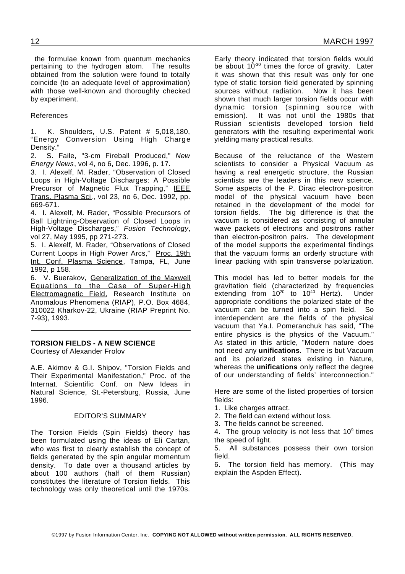the formulae known from quantum mechanics pertaining to the hydrogen atom. The results obtained from the solution were found to totally coincide (to an adequate level of approximation) with those well-known and thoroughly checked by experiment.

#### References

1. K. Shoulders, U.S. Patent # 5,018,180, "Energy Conversion Using High Charge Density."

2. S. Faile, "3-cm Fireball Produced," *New Energy News*, vol 4, no 6, Dec. 1996, p. 17.

3. I. Alexelf, M. Rader, "Observation of Closed Loops in High-Voltage Discharges: A Possible Precursor of Magnetic Flux Trapping," IEEE Trans. Plasma Sci., vol 23, no 6, Dec. 1992, pp. 669-671.

4. I. Alexelf, M. Rader, "Possible Precursors of Ball Lightning-Observation of Closed Loops in High-Voltage Discharges," *Fusion Technology*, vol 27, May 1995, pp 271-273.

5. I. Alexelf, M. Rader, "Observations of Closed Current Loops in High Power Arcs," Proc. 19th Int. Conf. Plasma Science, Tampa, FL, June 1992, p 158.

6. V. Buerakov, Generalization of the Maxwell Equations to the Case of Super-High Electromagnetic Field, Research Institute on Anomalous Phenomena (RIAP), P.O. Box 4684, 310022 Kharkov-22, Ukraine (RIAP Preprint No. 7-93), 1993.

#### **TORSION FIELDS - A NEW SCIENCE**

Courtesy of Alexander Frolov

A.E. Akimov & G.I. Shipov, "Torsion Fields and Their Experimental Manifestation," Proc. of the Internat. Scientific Conf. on New Ideas in Natural Science, St.-Petersburg, Russia, June 1996.

#### EDITOR'S SUMMARY

The Torsion Fields (Spin Fields) theory has been formulated using the ideas of Eli Cartan, who was first to clearly establish the concept of fields generated by the spin angular momentum density. To date over a thousand articles by about 100 authors (half of them Russian) constitutes the literature of Torsion fields. This technology was only theoretical until the 1970s.

Early theory indicated that torsion fields would be about  $10^{-30}$  times the force of gravity. Later it was shown that this result was only for one type of static torsion field generated by spinning sources without radiation. Now it has been shown that much larger torsion fields occur with dynamic torsion (spinning source with emission). It was not until the 1980s that Russian scientists developed torsion field generators with the resulting experimental work yielding many practical results.

Because of the reluctance of the Western scientists to consider a Physical Vacuum as having a real energetic structure, the Russian scientists are the leaders in this new science. Some aspects of the P. Dirac electron-positron model of the physical vacuum have been retained in the development of the model for<br>torsion fields. The big difference is that the The big difference is that the vacuum is considered as consisting of annular wave packets of electrons and positrons rather than electron-positron pairs. The development of the model supports the experimental findings that the vacuum forms an orderly structure with linear packing with spin transverse polarization.

This model has led to better models for the gravitation field (characterized by frequencies extending from  $10^{20}$  to  $10^{40}$  Hertz). Under appropriate conditions the polarized state of the vacuum can be turned into a spin field. So interdependent are the fields of the physical vacuum that Ya.I. Pomeranchuk has said, "The entire physics is the physics of the Vacuum." As stated in this article, "Modern nature does not need any **unifications**. There is but Vacuum and its polarized states existing in Nature, whereas the **unifications** only reflect the degree of our understanding of fields' interconnection."

Here are some of the listed properties of torsion fields:

- 1. Like charges attract.
- 2. The field can extend without loss.
- 3. The fields cannot be screened.

4. The group velocity is not less that  $10<sup>9</sup>$  times the speed of light.

5. All substances possess their own torsion field.

6. The torsion field has memory. (This may explain the Aspden Effect).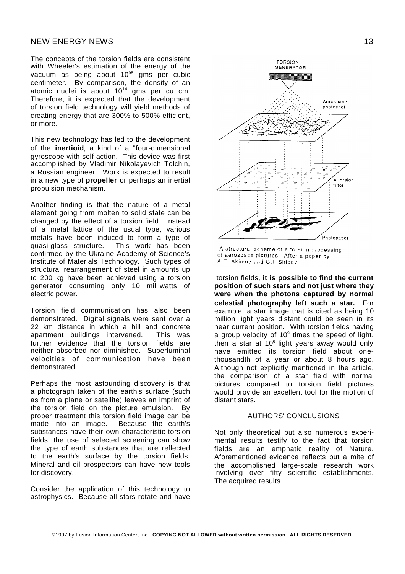The concepts of the torsion fields are consistent with Wheeler's estimation of the energy of the vacuum as being about 10<sup>95</sup> gms per cubic centimeter. By comparison, the density of an atomic nuclei is about 10<sup>14</sup> gms per cu cm. Therefore, it is expected that the development of torsion field technology will yield methods of creating energy that are 300% to 500% efficient, or more.

This new technology has led to the development of the **inertioid**, a kind of a "four-dimensional gyroscope with self action. This device was first accomplished by Vladimir Nikolayevich Tolchin, a Russian engineer. Work is expected to result in a new type of **propeller** or perhaps an inertial propulsion mechanism.

Another finding is that the nature of a metal element going from molten to solid state can be changed by the effect of a torsion field. Instead of a metal lattice of the usual type, various metals have been induced to form a type of quasi-glass structure. This work has been confirmed by the Ukraine Academy of Science's Institute of Materials Technology. Such types of structural rearrangement of steel in amounts up to 200 kg have been achieved using a torsion generator consuming only 10 milliwatts of electric power.

Torsion field communication has also been demonstrated. Digital signals were sent over a 22 km distance in which a hill and concrete apartment buildings intervened. This was further evidence that the torsion fields are neither absorbed nor diminished. Superluminal velocities of communication have been demonstrated.

Perhaps the most astounding discovery is that a photograph taken of the earth's surface (such as from a plane or satellite) leaves an imprint of the torsion field on the picture emulsion. By proper treatment this torsion field image can be made into an image. Because the earth's substances have their own characteristic torsion fields, the use of selected screening can show the type of earth substances that are reflected to the earth's surface by the torsion fields. Mineral and oil prospectors can have new tools for discovery.

Consider the application of this technology to astrophysics. Because all stars rotate and have



A structural scheme of a torsion processing of aerospace pictures. After a paper by A.E. Akimov and G.I. Shipov

torsion fields, **it is possible to find the current position of such stars and not just where they were when the photons captured by normal celestial photography left such a star.** For example, a star image that is cited as being 10 million light years distant could be seen in its near current position. With torsion fields having a group velocity of 10 $9$  times the speed of light, then a star at 10<sup>6</sup> light years away would only have emitted its torsion field about onethousandth of a year or about 8 hours ago. Although not explicitly mentioned in the article, the comparison of a star field with normal pictures compared to torsion field pictures would provide an excellent tool for the motion of distant stars.

#### AUTHORS' CONCLUSIONS

Not only theoretical but also numerous experimental results testify to the fact that torsion fields are an emphatic reality of Nature. Aforementioned evidence reflects but a mite of the accomplished large-scale research work involving over fifty scientific establishments. The acquired results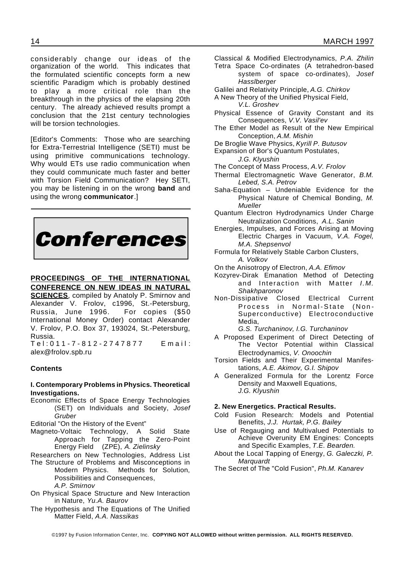considerably change our ideas of the organization of the world. This indicates that the formulated scientific concepts form a new scientific Paradigm which is probably destined to play a more critical role than the breakthrough in the physics of the elapsing 20th century. The already achieved results prompt a conclusion that the 21st century technologies will be torsion technologies.

[Editor's Comments: Those who are searching for Extra-Terrestrial Intelligence (SETI) must be using primitive communications technology. Why would ETs use radio communication when they could communicate much faster and better with Torsion Field Communication? Hey SETI, you may be listening in on the wrong **band** and using the wrong **communicator**.]



#### **PROCEEDINGS OF THE INTERNATIONAL**

**CONFERENCE ON NEW IDEAS IN NATURAL SCIENCES**, compiled by Anatoly P. Smirnov and Alexander V. Frolov, c1996, St.-Petersburg, Russia, June 1996. For copies (\$50 International Money Order) contact Alexander V. Frolov, P.O. Box 37, 193024, St.-Petersburg, Russia.

T e l : 0 1 1 - 7 - 8 1 2 - 2 7 4 7 8 7 7 E m a i l : alex@frolov.spb.ru

#### **Contents**

#### **I. Contemporary Problems in Physics. Theoretical Investigations.**

Economic Effects of Space Energy Technologies (SET) on Individuals and Society, *Josef Gruber*

Editorial "On the History of the Event"

Magneto-Voltaic Technology, A Solid State Approach for Tapping the Zero-Point Energy Field (ZPE), *A. Zielinsky*

Researchers on New Technologies, Address List

The Structure of Problems and Misconceptions in Modern Physics. Methods for Solution, Possibilities and Consequences.

*A.P. Smirnov*

- On Physical Space Structure and New Interaction in Nature, *Yu.A. Baurov*
- The Hypothesis and The Equations of The Unified Matter Field, *A.A. Nassikas*
- Classical & Modified Electrodynamics, *P.A. Zhilin* Tetra Space Co-ordinates (A tetrahedron-based
	- system of space co-ordinates), *Josef Hasslberger*
- Galilei and Relativity Principle, *A.G. Chirkov*
- A New Theory of the Unified Physical Field, *V.L. Groshev*
- Physical Essence of Gravity Constant and its Consequences, *V.V. Vasil'ev*
- The Ether Model as Result of the New Empirical Conception, *A.M. Mishin*
- De Broglie Wave Physics, *Kyrill P. Butusov*
- Expansion of Bor's Quantum Postulates, *J.G. Klyushin*
- The Concept of Mass Process, *A.V. Frolov*
- Thermal Electromagnetic Wave Generator, *B.M. Lebed, S.A. Petrov*
- Saha-Equation Undeniable Evidence for the Physical Nature of Chemical Bonding, *M. Mueller*
- Quantum Electron Hydrodynamics Under Charge Neutralization Conditions, *A.L. Sanin*
- Energies, Impulses, and Forces Arising at Moving Electric Charges in Vacuum, *V.A. Fogel, M.A. Shepsenvol*
- Formula for Relatively Stable Carbon Clusters, *A. Volkov*
- On the Anisotropy of Electron, *A.A. Efimov*
- Kozyrev-Dirak Emanation Method of Detecting and Interaction with Matter *I.M. Shakhparonov*
- Non-Dissipative Closed Electrical Current Process in Normal-State (Non-Superconductive) Electroconductive Media,

*G.S. Turchaninov, I.G. Turchaninov*

- A Proposed Experiment of Direct Detecting of The Vector Potential within Classical Electrodynamics, *V. Onoochin*
- Torsion Fields and Their Experimental Manifestations, *A.E. Akimov, G.I. Shipov*
- A Generalized Formula for the Lorentz Force Density and Maxwell Equations, *J.G. Klyushin*

#### **2. New Energetics. Practical Results.**

- Cold Fusion Research: Models and Potential Benefits, *J.J. Hurtak, P.G. Bailey*
- Use of Regauging and Multivalued Potentials to Achieve Overunity EM Engines: Concepts and Specific Examples, *T.E. Bearden.*
- About the Local Tapping of Energy, *G. Galeczki, P. Marquardt*

The Secret of The "Cold Fusion", *Ph.M. Kanarev*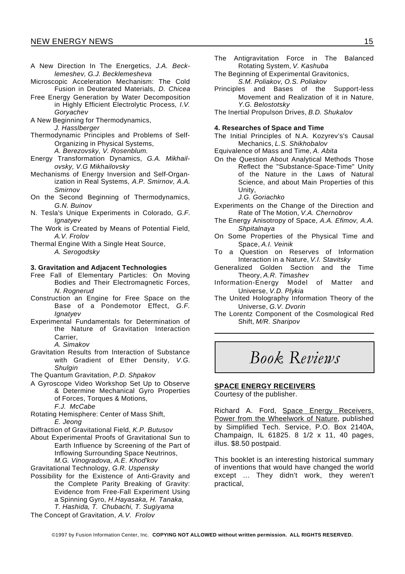- A New Direction In The Energetics, *J.A. Becklemeshev, G.J. Becklemesheva*
- Microscopic Acceleration Mechanism: The Cold Fusion in Deuterated Materials, *D. Chicea*
- Free Energy Generation by Water Decomposition in Highly Efficient Electrolytic Process, *I.V. Goryachev*
- A New Beginning for Thermodynamics, *J. Hasslberger*
- Thermodynamic Principles and Problems of Self-Organizing in Physical Systems,
	- *A. Berezovsky, V. Rosenblum.*
- Energy Transformation Dynamics, *G.A. Mikhailovsky, V.G Mikhailovsky*
- Mechanisms of Energy Inversion and Self-Organization in Real Systems, *A.P. Smirnov, A.A. Smirnov*
- On the Second Beginning of Thermodynamics, *G.N. Buinov*
- N. Tesla's Unique Experiments in Colorado, *G.F. Ignatyev*
- The Work is Created by Means of Potential Field, *A.V. Frolov*
- Thermal Engine With a Single Heat Source, *A. Serogodsky*

#### **3. Gravitation and Adjacent Technologies**

- Free Fall of Elementary Particles: On Moving Bodies and Their Electromagnetic Forces, *N. Rognerud*
- Construction an Engine for Free Space on the Base of a Pondemotor Effect, *G.F. Ignatyev*
- Experimental Fundamentals for Determination of the Nature of Gravitation Interaction Carrier,

*A. Simakov*

Gravitation Results from Interaction of Substance with Gradient of Ether Density, *V.G. Shulgin*

The Quantum Gravitation, *P.D. Shpakov*

- A Gyroscope Video Workshop Set Up to Observe & Determine Mechanical Gyro Properties of Forces, Torques & Motions, *F.J. McCabe*
- Rotating Hemisphere: Center of Mass Shift, *E. Jeong*
- Diffraction of Gravitational Field, *K.P. Butusov*
- About Experimental Proofs of Gravitational Sun to Earth Influence by Screening of the Part of Inflowing Surrounding Space Neutrinos, *M.G. Vinogradova, A.E. Khod'kov*
- Gravitational Technology, *G.R. Uspensky*
- Possibility for the Existence of Anti-Gravity and the Complete Parity Breaking of Gravity: Evidence from Free-Fall Experiment Using a Spinning Gyro, *H.Hayasaka, H. Tanaka, T. Hashida, T. Chubachi, T. Sugiyama*
- The Antigravitation Force in The Balanced Rotating System, *V. Kashuba*
- The Beginning of Experimental Gravitonics, *S.M. Poliakov, O.S. Poliakov*
- Principles and Bases of the Support-less Movement and Realization of it in Nature, *Y.G. Belostotsky*
- The Inertial Propulson Drives, *B.D. Shukalov*

#### **4. Researches of Space and Time**

- The Initial Principles of N.A. Kozyrev's's Causal Mechanics, *L.S. Shikhobalov*
- Equivalence of Mass and Time, *A. Abita*
- On the Question About Analytical Methods Those Reflect the "Substance-Space-Time" Unity of the Nature in the Laws of Natural Science, and about Main Properties of this Unity,
	- *J.G. Goriachko*
- Experiments on the Change of the Direction and Rate of The Motion, *V.A. Chernobrov*
- The Energy Anisotropy of Space, *A.A. Efimov, A.A. Shpitalnaya*
- On Some Properties of the Physical Time and Space, *A.I. Veinik*
- To a Question on Reserves of Information Interaction in a Nature, *V.I. Stavitsky*
- Generalized Golden Section and the Time Theory, *A.R. Timashev*
- Information-Energy Model of Matter and Universe, *V.D. Plykia*
- The United Holography Information Theory of the Universe, *G.V. Dvorin*
- The Lorentz Component of the Cosmological Red Shift, *M/R. Sharipov*

## *Book Reviews*

#### **SPACE ENERGY RECEIVERS**

Courtesy of the publisher.

Richard A. Ford, Space Energy Receivers. Power from the Wheelwork of Nature, published by Simplified Tech. Service, P.O. Box 2140A, Champaign, IL 61825. 8 1/2 x 11, 40 pages, illus. \$8.50 postpaid.

This booklet is an interesting historical summary of inventions that would have changed the world except ... They didn't work, they weren't practical,

The Concept of Gravitation, *A.V. Frolov*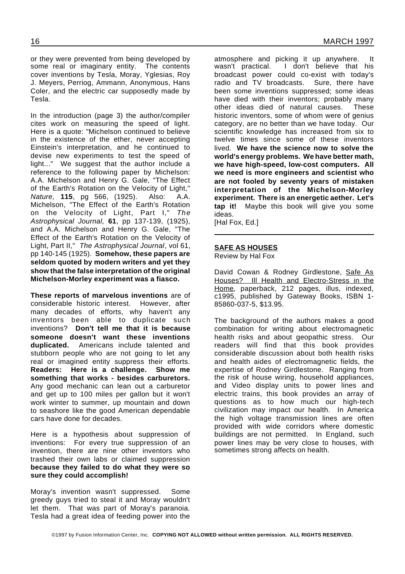or they were prevented from being developed by some real or imaginary entity. The contents cover inventions by Tesla, Moray, Yglesias, Roy J. Meyers, Perriog, Ammann, Anonymous, Hans Coler, and the electric car supposedly made by Tesla.

In the introduction (page 3) the author/compiler cites work on measuring the speed of light. Here is a quote: "Michelson continued to believe in the existence of the ether, never accepting Einstein's interpretation, and he continued to devise new experiments to test the speed of light..." We suggest that the author include a reference to the following paper by Michelson: A.A. Michelson and Henry G. Gale, "The Effect of the Earth's Rotation on the Velocity of Light," *Nature*, **115**, pg 566, (1925). Also: A.A. Michelson, "The Effect of the Earth's Rotation on the Velocity of Light, Part I," *The Astrophysical Journal*, **61**, pp 137-139, (1925), and A.A. Michelson and Henry G. Gale, "The Effect of the Earth's Rotation on the Velocity of Light, Part II," *The Astrophysical Journal*, vol 61, pp 140-145 (1925). **Somehow, these papers are seldom quoted by modern writers and yet they show that the false interpretation of the original Michelson-Morley experiment was a fiasco.**

**These reports of marvelous inventions** are of considerable historic interest. However, after many decades of efforts, why haven't any inventors been able to duplicate such inventions? **Don't tell me that it is because someone doesn't want these inventions duplicated.** Americans include talented and stubborn people who are not going to let any real or imagined entity suppress their efforts. **Readers: Here is a challenge. Show me something that works - besides carburetors.** Any good mechanic can lean out a carburetor and get up to 100 miles per gallon but it won't work winter to summer, up mountain and down to seashore like the good American dependable cars have done for decades.

Here is a hypothesis about suppression of inventions: For every true suppression of an invention, there are nine other inventors who trashed their own labs or claimed suppression **because they failed to do what they were so sure they could accomplish!**

Moray's invention wasn't suppressed. Some greedy guys tried to steal it and Moray wouldn't let them. That was part of Moray's paranoia. Tesla had a great idea of feeding power into the

atmosphere and picking it up anywhere. It wasn't practical. I don't believe that his broadcast power could co-exist with today's radio and TV broadcasts. Sure, there have been some inventions suppressed; some ideas have died with their inventors; probably many other ideas died of natural causes. These historic inventors, some of whom were of genius category, are no better than we have today. Our scientific knowledge has increased from six to twelve times since some of these inventors lived. **We have the science now to solve the world's energy problems. We have better math, we have high-speed, low-cost computers. All we need is more engineers and scientist who are not fooled by seventy years of mistaken interpretation of the Michelson-Morley experiment. There is an energetic aether. Let's tap it!** Maybe this book will give you some ideas.

[Hal Fox, Ed.]

#### **SAFE AS HOUSES**

Review by Hal Fox

David Cowan & Rodney Girdlestone, Safe As Houses? Ill Health and Electro-Stress in the Home, paperback, 212 pages, illus, indexed, c1995, published by Gateway Books, ISBN 1- 85860-037-5, \$13.95.

The background of the authors makes a good combination for writing about electromagnetic health risks and about geopathic stress. Our readers will find that this book provides considerable discussion about both health risks and health aides of electromagnetic fields, the expertise of Rodney Girdlestone. Ranging from the risk of house wiring, household appliances, and Video display units to power lines and electric trains, this book provides an array of questions as to how much our high-tech civilization may impact our health. In America the high voltage transmission lines are often provided with wide corridors where domestic buildings are not permitted. In England, such power lines may be very close to houses, with sometimes strong affects on health.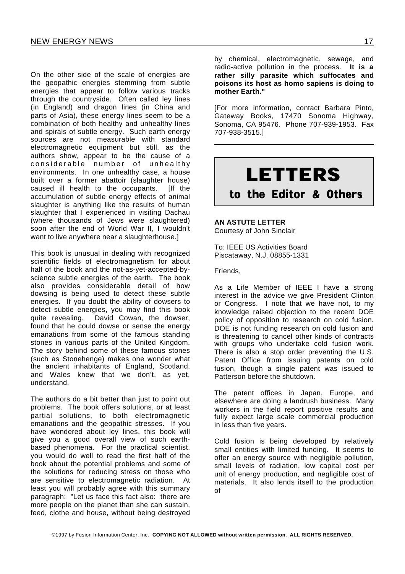On the other side of the scale of energies are the geopathic energies stemming from subtle energies that appear to follow various tracks through the countryside. Often called ley lines (in England) and dragon lines (in China and parts of Asia), these energy lines seem to be a combination of both healthy and unhealthy lines and spirals of subtle energy. Such earth energy sources are not measurable with standard electromagnetic equipment but still, as the authors show, appear to be the cause of a considerable number of unhealthy environments. In one unhealthy case, a house built over a former abattoir (slaughter house) caused ill health to the occupants. [If the accumulation of subtle energy effects of animal slaughter is anything like the results of human slaughter that I experienced in visiting Dachau (where thousands of Jews were slaughtered) soon after the end of World War II, I wouldn't want to live anywhere near a slaughterhouse.]

This book is unusual in dealing with recognized scientific fields of electromagnetism for about half of the book and the not-as-yet-accepted-byscience subtle energies of the earth. The book also provides considerable detail of how dowsing is being used to detect these subtle energies. If you doubt the ability of dowsers to detect subtle energies, you may find this book quite revealing. David Cowan, the dowser, found that he could dowse or sense the energy emanations from some of the famous standing stones in various parts of the United Kingdom. The story behind some of these famous stones (such as Stonehenge) makes one wonder what the ancient inhabitants of England, Scotland, and Wales knew that we don't, as yet, understand.

The authors do a bit better than just to point out problems. The book offers solutions, or at least partial solutions, to both electromagnetic emanations and the geopathic stresses. If you have wondered about ley lines, this book will give you a good overall view of such earthbased phenomena. For the practical scientist, you would do well to read the first half of the book about the potential problems and some of the solutions for reducing stress on those who are sensitive to electromagnetic radiation. At least you will probably agree with this summary paragraph: "Let us face this fact also: there are more people on the planet than she can sustain, feed, clothe and house, without being destroyed

by chemical, electromagnetic, sewage, and radio-active pollution in the process. **It is a rather silly parasite which suffocates and poisons its host as homo sapiens is doing to mother Earth."**

[For more information, contact Barbara Pinto, Gateway Books, 17470 Sonoma Highway, Sonoma, CA 95476. Phone 707-939-1953. Fax 707-938-3515.]



#### **AN ASTUTE LETTER**

Courtesy of John Sinclair

To: IEEE US Activities Board Piscataway, N.J. 08855-1331

Friends,

As a Life Member of IEEE I have a strong interest in the advice we give President Clinton or Congress. I note that we have not, to my knowledge raised objection to the recent DOE policy of opposition to research on cold fusion. DOE is not funding research on cold fusion and is threatening to cancel other kinds of contracts with groups who undertake cold fusion work. There is also a stop order preventing the U.S. Patent Office from issuing patents on cold fusion, though a single patent was issued to Patterson before the shutdown.

The patent offices in Japan, Europe, and elsewhere are doing a landrush business. Many workers in the field report positive results and fully expect large scale commercial production in less than five years.

Cold fusion is being developed by relatively small entities with limited funding. It seems to offer an energy source with negligible pollution, small levels of radiation, low capital cost per unit of energy production, and negligible cost of materials. It also lends itself to the production of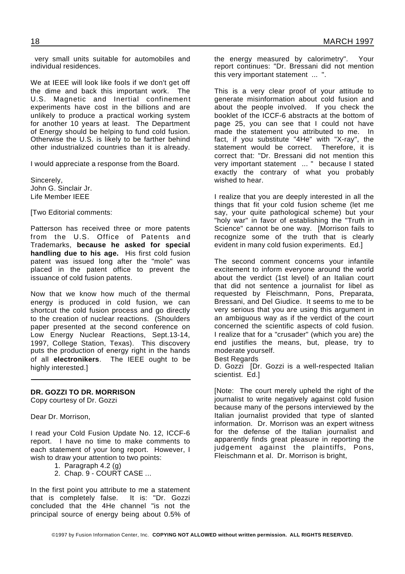very small units suitable for automobiles and individual residences.

We at IEEE will look like fools if we don't get off the dime and back this important work. The U.S. Magnetic and Inertial confinement experiments have cost in the billions and are unlikely to produce a practical working system for another 10 years at least. The Department of Energy should be helping to fund cold fusion. Otherwise the U.S. is likely to be farther behind other industrialized countries than it is already.

I would appreciate a response from the Board.

Sincerely, John G. Sinclair Jr. Life Member IEEE

[Two Editorial comments:

Patterson has received three or more patents from the U.S. Office of Patents and Trademarks, **because he asked for special handling due to his age.** His first cold fusion patent was issued long after the "mole" was placed in the patent office to prevent the issuance of cold fusion patents.

Now that we know how much of the thermal energy is produced in cold fusion, we can shortcut the cold fusion process and go directly to the creation of nuclear reactions. (Shoulders paper presented at the second conference on Low Energy Nuclear Reactions, Sept.13-14, 1997, College Station, Texas). This discovery puts the production of energy right in the hands of all **electronikers**. The IEEE ought to be highly interested.]

#### **DR. GOZZI TO DR. MORRISON**

Copy courtesy of Dr. Gozzi

Dear Dr. Morrison,

I read your Cold Fusion Update No. 12, ICCF-6 report. I have no time to make comments to each statement of your long report. However, I wish to draw your attention to two points:

- 1. Paragraph 4.2 (g)
- 2. Chap. 9 COURT CASE ...

In the first point you attribute to me a statement that is completely false. It is: "Dr. Gozzi concluded that the 4He channel "is not the principal source of energy being about 0.5% of

the energy measured by calorimetry". Your report continues: "Dr. Bressani did not mention this very important statement ... ".

This is a very clear proof of your attitude to generate misinformation about cold fusion and about the people involved. If you check the booklet of the ICCF-6 abstracts at the bottom of page 25, you can see that I could not have made the statement you attributed to me. In fact, if you substitute "4He" with "X-ray", the statement would be correct. Therefore, it is correct that: "Dr. Bressani did not mention this very important statement ... " because I stated exactly the contrary of what you probably wished to hear.

I realize that you are deeply interested in all the things that fit your cold fusion scheme (let me say, your quite pathological scheme) but your "holy war" in favor of establishing the "Truth in Science" cannot be one way. [Morrison fails to recognize some of the truth that is clearly evident in many cold fusion experiments. Ed.]

The second comment concerns your infantile excitement to inform everyone around the world about the verdict (1st level) of an Italian court that did not sentence a journalist for libel as requested by Fleischmann, Pons, Preparata, Bressani, and Del Giudice. It seems to me to be very serious that you are using this argument in an ambiguous way as if the verdict of the court concerned the scientific aspects of cold fusion. I realize that for a "crusader" (which you are) the end justifies the means, but, please, try to moderate yourself.

Best Regards

D. Gozzi [Dr. Gozzi is a well-respected Italian scientist. Ed.]

[Note: The court merely upheld the right of the journalist to write negatively against cold fusion because many of the persons interviewed by the Italian journalist provided that type of slanted information. Dr. Morrison was an expert witness for the defense of the Italian journalist and apparently finds great pleasure in reporting the judgement against the plaintiffs, Pons, Fleischmann et al. Dr. Morrison is bright,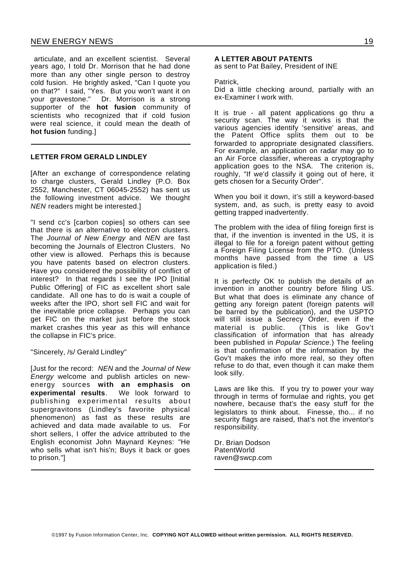articulate, and an excellent scientist. Several years ago, I told Dr. Morrison that he had done more than any other single person to destroy cold fusion. He brightly asked, "Can I quote you on that?" I said, "Yes. But you won't want it on your gravestone." Dr. Morrison is a strong supporter of the **hot fusion** community of scientists who recognized that if cold fusion were real science, it could mean the death of **hot fusion** funding.]

#### **LETTER FROM GERALD LINDLEY**

[After an exchange of correspondence relating to charge clusters, Gerald Lindley (P.O. Box 2552, Manchester, CT 06045-2552) has sent us the following investment advice. We thought *NEN* readers might be interested.]

"I send cc's [carbon copies] so others can see that there is an alternative to electron clusters. The *Journal of New Energy* and *NEN* are fast becoming the Journals of Electron Clusters. No other view is allowed. Perhaps this is because you have patents based on electron clusters. Have you considered the possibility of conflict of interest? In that regards I see the IPO [Initial Public Offering] of FIC as excellent short sale candidate. All one has to do is wait a couple of weeks after the IPO, short sell FIC and wait for the inevitable price collapse. Perhaps you can get FIC on the market just before the stock market crashes this year as this will enhance the collapse in FIC's price.

#### "Sincerely, /s/ Gerald Lindley"

[Just for the record: *NEN* and the *Journal of New Energy* welcome and publish articles on newenergy sources **with an emphasis on experimental results**. We look forward to publishing experimental results about supergravitons (Lindley's favorite physical phenomenon) as fast as these results are achieved and data made available to us. For short sellers, I offer the advice attributed to the English economist John Maynard Keynes: "He who sells what isn't his'n; Buys it back or goes to prison."]

#### **A LETTER ABOUT PATENTS**

as sent to Pat Bailey, President of INE

#### Patrick,

Did a little checking around, partially with an ex-Examiner I work with.

It is true - all patent applications go thru a security scan. The way it works is that the various agencies identify 'sensitive' areas, and the Patent Office splits them out to be forwarded to appropriate designated classifiers. For example, an application on radar may go to an Air Force classifier, whereas a cryptography application goes to the NSA. The criterion is, roughly, "If we'd classify it going out of here, it gets chosen for a Security Order".

When you boil it down, it's still a keyword-based system, and, as such, is pretty easy to avoid getting trapped inadvertently.

The problem with the idea of filing foreign first is that, if the invention is invented in the US, it is illegal to file for a foreign patent without getting a Foreign Filing License from the PTO. (Unless months have passed from the time a US application is filed.)

It is perfectly OK to publish the details of an invention in another country before filing US. But what that does is eliminate any chance of getting any foreign patent (foreign patents will be barred by the publication), and the USPTO will still issue a Secrecy Order, even if the material is public. (This is like Gov't classification of information that has already been published in *Popular Science*.) The feeling is that confirmation of the information by the Gov't makes the info more real, so they often refuse to do that, even though it can make them look silly.

Laws are like this. If you try to power your way through in terms of formulae and rights, you get nowhere, because that's the easy stuff for the legislators to think about. Finesse, tho... if no security flags are raised, that's not the inventor's responsibility.

Dr. Brian Dodson PatentWorld raven@swcp.com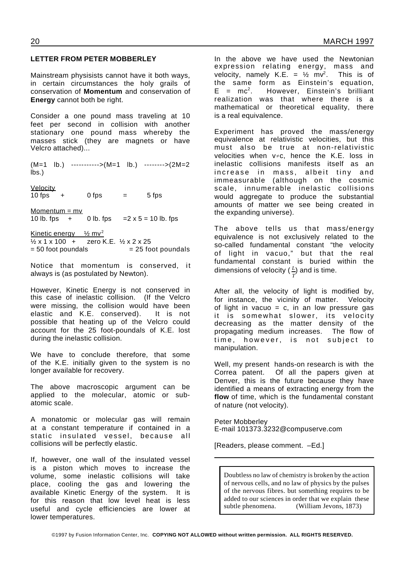#### **LETTER FROM PETER MOBBERLEY**

Mainstream physisists cannot have it both ways, in certain circumstances the holy grails of conservation of **Momentum** and conservation of **Energy** cannot both be right.

Consider a one pound mass traveling at 10 feet per second in collision with another stationary one pound mass whereby the masses stick (they are magnets or have Velcro attached)...

(M=1 lb.) ----------->(M=1 lb.) -------->(2M=2 lbs.)

**Velocity**  $10$  fps  $+$  0 fps  $=$  5 fps

Momentum = mv 10 lb. fps  $+ 0$  lb. fps  $= 2 \times 5 = 10$  lb. fps

Kinetic energy  $\frac{1}{2}$  mv<sup>2</sup>  $\frac{1}{2}$  x 1 x 100 + zero K.E.  $\frac{1}{2}$  x 2 x 25  $= 50$  foot poundals  $= 25$  foot poundals

Notice that momentum is conserved, it always is (as postulated by Newton).

However, Kinetic Energy is not conserved in this case of inelastic collision. (If the Velcro were missing, the collision would have been elastic and K.E. conserved). It is not possible that heating up of the Velcro could account for the 25 foot-poundals of K.E. lost during the inelastic collision.

We have to conclude therefore, that some of the K.E. initially given to the system is no longer available for recovery.

The above macroscopic argument can be applied to the molecular, atomic or subatomic scale.

A monatomic or molecular gas will remain at a constant temperature if contained in a static insulated vessel, because all collisions will be perfectly elastic.

If, however, one wall of the insulated vessel is a piston which moves to increase the volume, some inelastic collisions will take place, cooling the gas and lowering the available Kinetic Energy of the system. It is for this reason that low level heat is less useful and cycle efficiencies are lower at lower temperatures.

In the above we have used the Newtonian expression relating energy, mass and velocity, namely K.E. =  $\frac{1}{2}$  mv<sup>2</sup>. This is of the same form as Einstein's equation,  $E = mc^2$ . . However, Einstein's brilliant realization was that where there is a mathematical or theoretical equality, there is a real equivalence.

Experiment has proved the mass/energy equivalence at relativistic velocities, but this must also be true at non-relativistic velocities when  $v \neq c$ , hence the K.E. loss in inelastic collisions manifests itself as an increase in mass, albeit tiny and immeasurable (although on the cosmic scale, innumerable inelastic collisions would aggregate to produce the substantial amounts of matter we see being created in the expanding universe).

The above tells us that mass/energy equivalence is not exclusively related to the so-called fundamental constant "the velocity of light in vacuo," but that the real fundamental constant is buried within the dimensions of velocity ( $\frac{L}{T}$ ) and is time.

After all, the velocity of light is modified by, for instance, the vicinity of matter. Velocity of light in vacuo =  $c$ , in an low pressure gas it is somewhat slower, its velocity decreasing as the matter density of the propagating medium increases. The flow of time, however, is not subject to manipulation.

Well, my present hands-on research is with the Correa patent. Of all the papers given at Denver, this is the future because they have identified a means of extracting energy from the **flow** of time, which is the fundamental constant of nature (not velocity).

Peter Mobberley E-mail 101373.3232@compuserve.com

[Readers, please comment. –Ed.]

Doubtless no law of chemistry is broken by the action of nervous cells, and no law of physics by the pulses of the nervous fibres. but something requires to be added to our sciences in order that we explain these subtle phenomena. (William Jevons, 1873)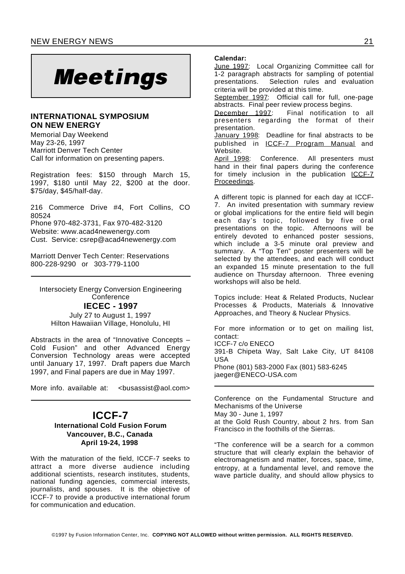# **Meetings**

#### **INTERNATIONAL SYMPOSIUM ON NEW ENERGY**

Memorial Day Weekend May 23-26, 1997 Marriott Denver Tech Center Call for information on presenting papers.

Registration fees: \$150 through March 15, 1997, \$180 until May 22, \$200 at the door. \$75/day, \$45/half-day.

216 Commerce Drive #4, Fort Collins, CO 80524 Phone 970-482-3731, Fax 970-482-3120 Website: www.acad4newenergy.com Cust. Service: csrep@acad4newenergy.com

Marriott Denver Tech Center: Reservations 800-228-9290 or 303-779-1100

Intersociety Energy Conversion Engineering **Conference IECEC - 1997**

July 27 to August 1, 1997 Hilton Hawaiian Village, Honolulu, HI

Abstracts in the area of "Innovative Concepts – Cold Fusion" and other Advanced Energy Conversion Technology areas were accepted until January 17, 1997. Draft papers due March 1997, and Final papers are due in May 1997.

More info. available at: <br />  $\leq$  <br />  $\leq$  x and x solutions  $\leq$  x solutions  $\leq$  x solutions  $\leq$  x solutions  $\leq$  x solutions  $\leq$  x solutions  $\leq$  x solutions  $\leq$  x solutions  $\leq$  x solutions  $\leq$  x s

#### **ICCF-7 International Cold Fusion Forum Vancouver, B.C., Canada April 19-24, 1998**

With the maturation of the field, ICCF-7 seeks to attract a more diverse audience including additional scientists, research institutes, students, national funding agencies, commercial interests, journalists, and spouses. It is the objective of ICCF-7 to provide a productive international forum for communication and education.

#### **Calendar:**

June 1997: Local Organizing Committee call for 1-2 paragraph abstracts for sampling of potential presentations. Selection rules and evaluation criteria will be provided at this time.

September 1997: Official call for full, one-page abstracts. Final peer review process begins.

December 1997: Final notification to all presenters regarding the format of their presentation.

January 1998: Deadline for final abstracts to be published in ICCF-7 Program Manual and Website.

April 1998: Conference. All presenters must hand in their final papers during the conference for timely inclusion in the publication ICCF-7 Proceedings.

A different topic is planned for each day at ICCF-7. An invited presentation with summary review or global implications for the entire field will begin each day's topic, followed by five oral presentations on the topic. Afternoons will be entirely devoted to enhanced poster sessions, which include a 3-5 minute oral preview and summary. A "Top Ten" poster presenters will be selected by the attendees, and each will conduct an expanded 15 minute presentation to the full audience on Thursday afternoon. Three evening workshops will also be held.

Topics include: Heat & Related Products, Nuclear Processes & Products, Materials & Innovative Approaches, and Theory & Nuclear Physics.

For more information or to get on mailing list, contact: ICCF-7 c/o ENECO 391-B Chipeta Way, Salt Lake City, UT 84108 USA Phone (801) 583-2000 Fax (801) 583-6245 jaeger@ENECO-USA.com

Conference on the Fundamental Structure and Mechanisms of the Universe May 30 - June 1, 1997 at the Gold Rush Country, about 2 hrs. from San Francisco in the foothills of the Sierras.

"The conference will be a search for a common structure that will clearly explain the behavior of electromagnetism and matter, forces, space, time, entropy, at a fundamental level, and remove the wave particle duality, and should allow physics to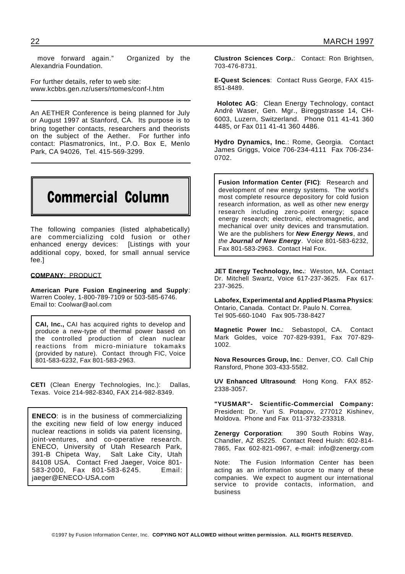move forward again." Organized by the Alexandria Foundation.

For further details, refer to web site: www.kcbbs.gen.nz/users/rtomes/conf-l.htm

An AETHER Conference is being planned for July or August 1997 at Stanford, CA. Its purpose is to bring together contacts, researchers and theorists on the subject of the Aether. For further info contact: Plasmatronics, Int., P.O. Box E, Menlo Park, CA 94026, Tel. 415-569-3299.

## Commercial Column

The following companies (listed alphabetically) are commercializing cold fusion or other enhanced energy devices: [Listings with your additional copy, boxed, for small annual service fee.]

#### **COMPANY**: PRODUCT

**American Pure Fusion Engineering and Supply**: Warren Cooley, 1-800-789-7109 or 503-585-6746. Email to: Coolwar@aol.com

**CAI, Inc.,** CAI has acquired rights to develop and produce a new-type of thermal power based on the controlled production of clean nuclear reactions from micro-miniature tokamaks (provided by nature). Contact through FIC, Voice 801-583-6232, Fax 801-583-2963.

**CETI** (Clean Energy Technologies, Inc.): Dallas, Texas. Voice 214-982-8340, FAX 214-982-8349.

**ENECO**: is in the business of commercializing the exciting new field of low energy induced nuclear reactions in solids via patent licensing, joint-ventures, and co-operative research. ENECO, University of Utah Research Park, 391-B Chipeta Way, Salt Lake City, Utah 84108 USA. Contact Fred Jaeger, Voice 801- 583-2000, Fax 801-583-6245. Email: jaeger@ENECO-USA.com

**Clustron Sciences Corp.**: Contact: Ron Brightsen, 703-476-8731.

**E-Quest Sciences**: Contact Russ George, FAX 415- 851-8489.

**Holotec AG**: Clean Energy Technology, contact André Waser, Gen. Mgr., Bireggstrasse 14, CH-6003, Luzern, Switzerland. Phone 011 41-41 360 4485, or Fax 011 41-41 360 4486.

**Hydro Dynamics, Inc**.: Rome, Georgia. Contact James Griggs, Voice 706-234-4111 Fax 706-234- 0702.

**Fusion Information Center (FIC)**: Research and development of new energy systems. The world's most complete resource depository for cold fusion research information, as well as other new energy research including zero-point energy; space energy research; electronic, electromagnetic, and mechanical over unity devices and transmutation. We are the publishers for *New Energy News*, and *the Journal of New Energy.* Voice 801-583-6232, Fax 801-583-2963. Contact Hal Fox.

**JET Energy Technology, Inc.**: Weston, MA. Contact Dr. Mitchell Swartz, Voice 617-237-3625. Fax 617- 237-3625.

**Labofex, Experimental and Applied Plasma Physics**: Ontario, Canada. Contact Dr. Paulo N. Correa. Tel 905-660-1040 Fax 905-738-8427

**Magnetic Power Inc.**: Sebastopol, CA. Contact Mark Goldes, voice 707-829-9391, Fax 707-829- 1002.

**Nova Resources Group, Inc**.: Denver, CO. Call Chip Ransford, Phone 303-433-5582.

**UV Enhanced Ultrasound**: Hong Kong. FAX 852- 2338-3057.

**"YUSMAR"- Scientific-Commercial Company:** President: Dr. Yuri S. Potapov, 277012 Kishinev, Moldova. Phone and Fax 011-3732-233318.

**Zenergy Corporation**: 390 South Robins Way, Chandler, AZ 85225. Contact Reed Huish: 602-814- 7865, Fax 602-821-0967, e-mail: info@zenergy.com

Note: The Fusion Information Center has been acting as an information source to many of these companies. We expect to augment our international service to provide contacts, information, and business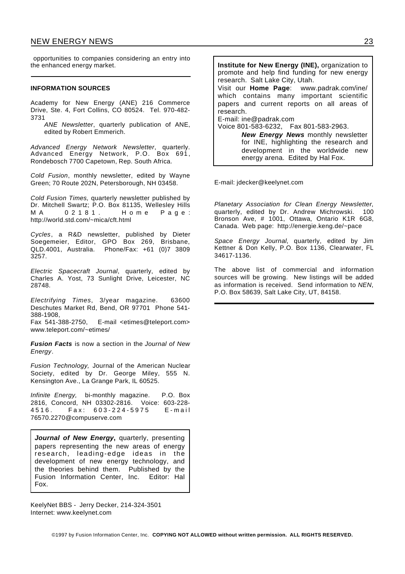opportunities to companies considering an entry into the enhanced energy market.

#### **INFORMATION SOURCES**

Academy for New Energy (ANE) 216 Commerce Drive, Ste. 4, Fort Collins, CO 80524. Tel. 970-482- 3731

*ANE Newsletter*, quarterly publication of ANE, edited by Robert Emmerich.

*Advanced Energy Network Newsletter*, quarterly. Advanced Energy Network, P.O. Box 691 , Rondebosch 7700 Capetown, Rep. South Africa.

*Cold Fusion*, monthly newsletter, edited by Wayne Green; 70 Route 202N, Petersborough, NH 03458.

*Cold Fusion Times,* quarterly newsletter published by Dr. Mitchell Swartz; P.O. Box 81135, Wellesley Hills M A 0 2 1 8 1. H o m e P a q e : http://world.std.com/~mica/cft.html

*Cycles*, a R&D newsletter, published by Dieter Soegemeier, Editor, GPO Box 269, Brisbane, QLD.4001, Australia. Phone/Fax: +61 (0)7 3809 3257.

*Electric Spacecraft Journal*, quarterly, edited by Charles A. Yost, 73 Sunlight Drive, Leicester, NC 28748.

*Electrifying Times*, 3/year magazine. 63600 Deschutes Market Rd, Bend, OR 97701 Phone 541- 388-1908,

Fax 541-388-2750, E-mail <etimes@teleport.com> www.teleport.com/~etimes/

*Fusion Facts* is now a section in the *Journal of New Energy*.

*Fusion Technology,* Journal of the American Nuclear Society, edited by Dr. George Miley, 555 N. Kensington Ave., La Grange Park, IL 60525.

*Infinite Energy,* bi-monthly magazine. P.O. Box 2816, Concord, NH 03302-2816. Voice: 603-228- 4516. Fax: 603-224-5975 E-mail 76570.2270@compuserve.com

*Journal of New Energy***,** quarterly, presenting papers representing the new areas of energy research, leading-edge ideas in the development of new energy technology, and the theories behind them. Published by the Fusion Information Center, Inc. Editor: Hal Fox.

KeelyNet BBS - Jerry Decker, 214-324-3501 Internet: www.keelynet.com

**Institute for New Energy (INE),** organization to promote and help find funding for new energy research. Salt Lake City, Utah. Visit our **Home Page**: www.padrak.com/ine/ which contains many important scientific papers and current reports on all areas of research. E-mail: ine@padrak.com Voice 801-583-6232, Fax 801-583-2963. *New Energy News* monthly newsletter for INE, highlighting the research and development in the worldwide new

energy arena. Edited by Hal Fox.

E-mail: jdecker@keelynet.com

*Planetary Association for Clean Energy Newsletter*, quarterly, edited by Dr. Andrew Michrowski. 100 Bronson Ave, # 1001, Ottawa, Ontario K1R 6G8, Canada. Web page: http://energie.keng.de/~pace

*Space Energy Journal*, quarterly, edited by Jim Kettner & Don Kelly, P.O. Box 1136, Clearwater, FL 34617-1136.

The above list of commercial and information sources will be growing. New listings will be added as information is received. Send information to *NEN*, P.O. Box 58639, Salt Lake City, UT, 84158.